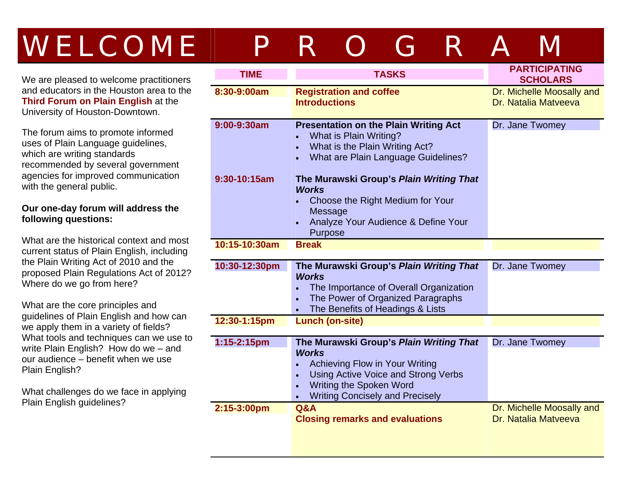# WELCOME PROGRAM

We are pleased to welcome practitioners and educators in the Houston area to the **Third Forum on Plain English** at the University of Houston-Downtown.

The forum aims to promote informed uses of Plain Language guidelines, which are writing standards recommended by several government agencies for improved communication with the general public.

### **Our one-day forum will address the following questions:**

What are the historical context and most current status of Plain English, including the Plain Writing Act of 2010 and the proposed Plain Regulations Act of 2012? Where do we go from here?

What are the core principles and guidelines of Plain English and how can we apply them in a variety of fields? What tools and techniques can we use to write Plain English? How do we – and our audience – benefit when we use Plain English?

What challenges do we face in applying Plain English guidelines?

| <b>TIME</b>   | <b>TASKS</b>                                                                                                                                                                                                                                        | <b>PARTICIPATING</b><br><b>SCHOLARS</b>           |
|---------------|-----------------------------------------------------------------------------------------------------------------------------------------------------------------------------------------------------------------------------------------------------|---------------------------------------------------|
| 8:30-9:00am   | <b>Registration and coffee</b><br><b>Introductions</b>                                                                                                                                                                                              | Dr. Michelle Moosally and<br>Dr. Natalia Matveeva |
| 9:00-9:30am   | <b>Presentation on the Plain Writing Act</b><br>What is Plain Writing?<br>What is the Plain Writing Act?<br>$\bullet$<br>What are Plain Language Guidelines?                                                                                        | Dr. Jane Twomey                                   |
| 9:30-10:15am  | The Murawski Group's Plain Writing That<br><b>Works</b><br>Choose the Right Medium for Your<br><b>Message</b><br>Analyze Your Audience & Define Your<br>Purpose                                                                                     |                                                   |
| 10:15-10:30am | <b>Break</b>                                                                                                                                                                                                                                        |                                                   |
| 10:30-12:30pm | The Murawski Group's Plain Writing That<br><b>Works</b><br>The Importance of Overall Organization<br>The Power of Organized Paragraphs<br>The Benefits of Headings & Lists<br>$\bullet$                                                             | Dr. Jane Twomey                                   |
| 12:30-1:15pm  | <b>Lunch (on-site)</b>                                                                                                                                                                                                                              |                                                   |
| 1:15-2:15pm   | The Murawski Group's Plain Writing That<br><b>Works</b><br>Achieving Flow in Your Writing<br>Using Active Voice and Strong Verbs<br>$\bullet$<br><b>Writing the Spoken Word</b><br>$\bullet$<br><b>Writing Concisely and Precisely</b><br>$\bullet$ | Dr. Jane Twomey                                   |
| 2:15-3:00pm   | <b>Q&amp;A</b><br><b>Closing remarks and evaluations</b>                                                                                                                                                                                            | Dr. Michelle Moosally and<br>Dr. Natalia Matveeva |